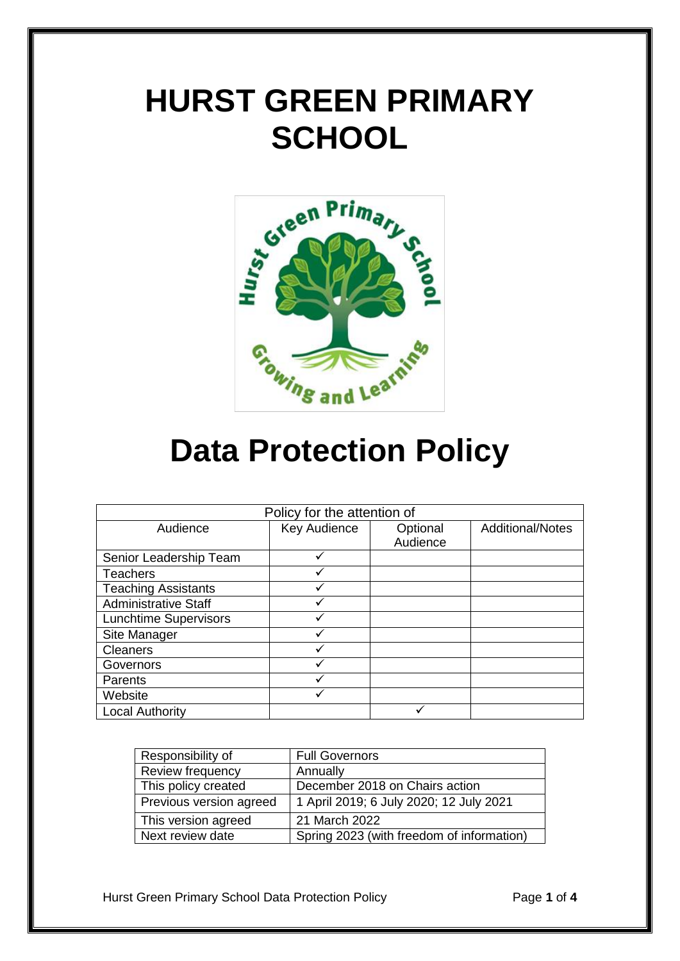# **HURST GREEN PRIMARY SCHOOL**



## **Data Protection Policy**

| Policy for the attention of  |              |          |                         |
|------------------------------|--------------|----------|-------------------------|
| Audience                     | Key Audience | Optional | <b>Additional/Notes</b> |
|                              |              | Audience |                         |
| Senior Leadership Team       | ✓            |          |                         |
| <b>Teachers</b>              |              |          |                         |
| <b>Teaching Assistants</b>   |              |          |                         |
| <b>Administrative Staff</b>  |              |          |                         |
| <b>Lunchtime Supervisors</b> |              |          |                         |
| Site Manager                 |              |          |                         |
| <b>Cleaners</b>              |              |          |                         |
| Governors                    |              |          |                         |
| Parents                      |              |          |                         |
| Website                      |              |          |                         |
| <b>Local Authority</b>       |              |          |                         |

| Responsibility of       | <b>Full Governors</b>                     |
|-------------------------|-------------------------------------------|
| Review frequency        | Annually                                  |
| This policy created     | December 2018 on Chairs action            |
| Previous version agreed | 1 April 2019; 6 July 2020; 12 July 2021   |
| This version agreed     | 21 March 2022                             |
| Next review date        | Spring 2023 (with freedom of information) |

Hurst Green Primary School Data Protection Policy Page **1** of **4**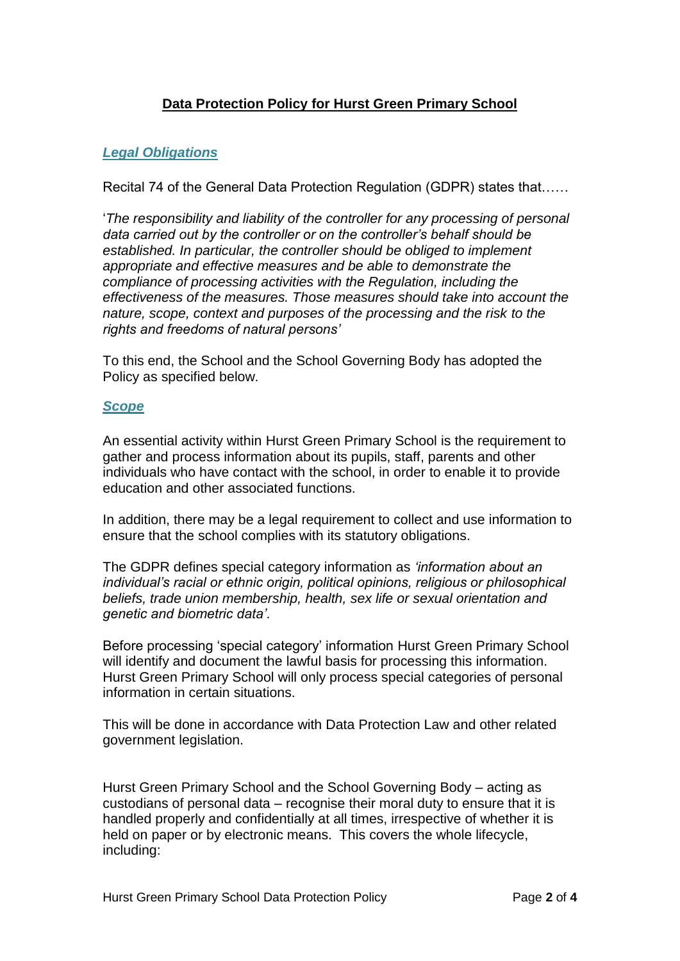### **Data Protection Policy for Hurst Green Primary School**

#### *Legal Obligations*

Recital 74 of the General Data Protection Regulation (GDPR) states that……

'*The responsibility and liability of the controller for any processing of personal data carried out by the controller or on the controller's behalf should be established. In particular, the controller should be obliged to implement appropriate and effective measures and be able to demonstrate the compliance of processing activities with the Regulation, including the effectiveness of the measures. Those measures should take into account the nature, scope, context and purposes of the processing and the risk to the rights and freedoms of natural persons'*

To this end, the School and the School Governing Body has adopted the Policy as specified below.

#### *Scope*

An essential activity within Hurst Green Primary School is the requirement to gather and process information about its pupils, staff, parents and other individuals who have contact with the school, in order to enable it to provide education and other associated functions.

In addition, there may be a legal requirement to collect and use information to ensure that the school complies with its statutory obligations.

The GDPR defines special category information as *'information about an individual's racial or ethnic origin, political opinions, religious or philosophical beliefs, trade union membership, health, sex life or sexual orientation and genetic and biometric data'*.

Before processing 'special category' information Hurst Green Primary School will identify and document the lawful basis for processing this information. Hurst Green Primary School will only process special categories of personal information in certain situations.

This will be done in accordance with Data Protection Law and other related government legislation.

Hurst Green Primary School and the School Governing Body – acting as custodians of personal data – recognise their moral duty to ensure that it is handled properly and confidentially at all times, irrespective of whether it is held on paper or by electronic means. This covers the whole lifecycle, including: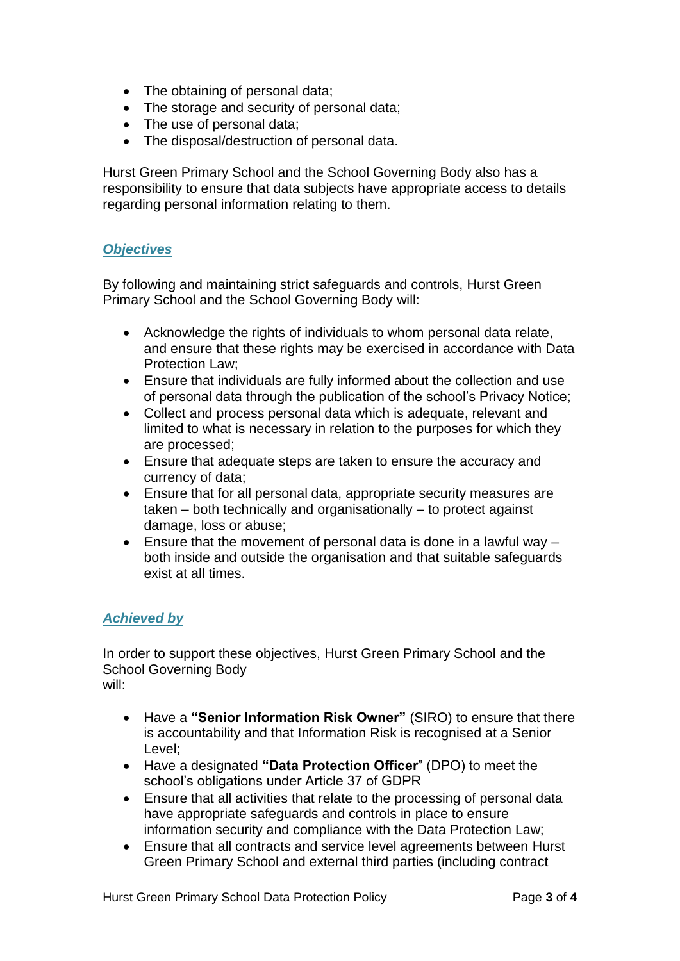- The obtaining of personal data;
- The storage and security of personal data;
- The use of personal data;
- The disposal/destruction of personal data.

Hurst Green Primary School and the School Governing Body also has a responsibility to ensure that data subjects have appropriate access to details regarding personal information relating to them.

#### *Objectives*

By following and maintaining strict safeguards and controls, Hurst Green Primary School and the School Governing Body will:

- Acknowledge the rights of individuals to whom personal data relate, and ensure that these rights may be exercised in accordance with Data Protection Law;
- Ensure that individuals are fully informed about the collection and use of personal data through the publication of the school's Privacy Notice;
- Collect and process personal data which is adequate, relevant and limited to what is necessary in relation to the purposes for which they are processed;
- Ensure that adequate steps are taken to ensure the accuracy and currency of data;
- Ensure that for all personal data, appropriate security measures are taken – both technically and organisationally – to protect against damage, loss or abuse;
- **Ensure that the movement of personal data is done in a lawful way** both inside and outside the organisation and that suitable safeguards exist at all times.

#### *Achieved by*

In order to support these objectives, Hurst Green Primary School and the School Governing Body will:

- Have a **"Senior Information Risk Owner"** (SIRO) to ensure that there is accountability and that Information Risk is recognised at a Senior Level;
- Have a designated **"Data Protection Officer**" (DPO) to meet the school's obligations under Article 37 of GDPR
- Ensure that all activities that relate to the processing of personal data have appropriate safeguards and controls in place to ensure information security and compliance with the Data Protection Law;
- Ensure that all contracts and service level agreements between Hurst Green Primary School and external third parties (including contract